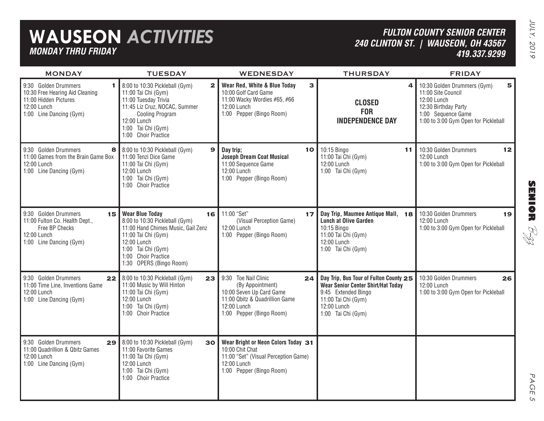## **WAUSEON** *ACTIVITIES MONDAY THRU FRIDAY*

## *FULTON COUNTY SENIOR CENTER240 CLINTON ST. | WAUSEON, OH 43567 419.337.9299*

| <b>MONDAY</b>                                                                                                                    | <b>TUESDAY</b>                                                                                                                                                                                                       | WEDNESDAY                                                                                                                                               | <b>THURSDAY</b>                                                                                                                                                        | <b>FRIDAY</b>                                                                                                                                               |
|----------------------------------------------------------------------------------------------------------------------------------|----------------------------------------------------------------------------------------------------------------------------------------------------------------------------------------------------------------------|---------------------------------------------------------------------------------------------------------------------------------------------------------|------------------------------------------------------------------------------------------------------------------------------------------------------------------------|-------------------------------------------------------------------------------------------------------------------------------------------------------------|
| 9:30 Golden Drummers<br>1.<br>10:30 Free Hearing Aid Cleaning<br>11:00 Hidden Pictures<br>12:00 Lunch<br>1:00 Line Dancing (Gym) | 8:00 to 10:30 Pickleball (Gym)<br>$\mathbf{z}$<br>11:00 Tai Chi (Gym)<br>11:00 Tuesday Trivia<br>11:45 Liz Cruz, NOCAC, Summer<br><b>Cooling Program</b><br>12:00 Lunch<br>1:00 Tai Chi (Gym)<br>1:00 Choir Practice | 3<br>Wear Red, White & Blue Today<br>10:00 Golf Card Game<br>11:00 Wacky Wordies #65, #66<br>12:00 Lunch<br>1:00 Pepper (Bingo Room)                    | 4<br><b>CLOSED</b><br><b>FOR</b><br><b>INDEPENDENCE DAY</b>                                                                                                            | 10:30 Golden Drummers (Gym)<br>5<br>11:00 Site Council<br>12:00 Lunch<br>12:30 Birthday Party<br>1:00 Sequence Game<br>1:00 to 3:00 Gym Open for Pickleball |
| 9:30 Golden Drummers<br>8<br>11:00 Games from the Brain Game Box<br>12:00 Lunch<br>1:00 Line Dancing (Gym)                       | 8:00 to 10:30 Pickleball (Gym)<br>$\mathbf{9}$<br>11:00 Tenzi Dice Game<br>11:00 Tai Chi (Gym)<br>12:00 Lunch<br>1:00 Tai Chi (Gym)<br>1:00 Choir Practice                                                           | Day trip;<br>10 <sub>l</sub><br><b>Joseph Dream Coat Musical</b><br>11:00 Sequence Game<br>12:00 Lunch<br>1:00 Pepper (Bingo Room)                      | 10:15 Bingo<br>11<br>11:00 Tai Chi (Gym)<br>12:00 Lunch<br>1:00 Tai Chi (Gym)                                                                                          | 10:30 Golden Drummers<br>12<br>12:00 Lunch<br>1:00 to 3:00 Gym Open for Pickleball                                                                          |
| 9:30 Golden Drummers<br>15<br>11:00 Fulton Co. Health Dept.,<br>Free BP Checks<br>12:00 Lunch<br>1:00 Line Dancing (Gym)         | <b>Wear Blue Today</b><br>16<br>8:00 to 10:30 Pickleball (Gym)<br>11:00 Hand Chimes Music, Gail Zenz<br>11:00 Tai Chi (Gym)<br>12:00 Lunch<br>1:00 Tai Chi (Gym)<br>1:00 Choir Practice<br>1:30 OPERS (Bingo Room)   | 11:00 "Set"<br>17 <sup>1</sup><br>(Visual Perception Game)<br>12:00 Lunch<br>1:00 Pepper (Bingo Room)                                                   | Day Trip, Maumee Antique Mall, 18<br><b>Lunch at Olive Garden</b><br>10:15 Bingo<br>11:00 Tai Chi (Gym)<br>12:00 Lunch<br>1:00 Tai Chi (Gym)                           | 10:30 Golden Drummers<br>19<br>12:00 Lunch<br>1:00 to 3:00 Gym Open for Pickleball                                                                          |
| 9:30 Golden Drummers<br>11:00 Time Line, Inventions Game<br>12:00 Lunch<br>1:00 Line Dancing (Gym)                               | 22 8:00 to 10:30 Pickleball (Gym)<br>23<br>11:00 Music by Will Hinton<br>11:00 Tai Chi (Gym)<br>12:00 Lunch<br>1:00 Tai Chi (Gym)<br>1:00 Choir Practice                                                             | 9:30 Toe Nail Clinic<br>24<br>(By Appointment)<br>10:00 Seven Up Card Game<br>11:00 Qbitz & Quadrillion Game<br>12:00 Lunch<br>1:00 Pepper (Bingo Room) | Day Trip, Bus Tour of Fulton County 25<br><b>Wear Senior Center Shirt/Hat Today</b><br>9:45 Extended Bingo<br>11:00 Tai Chi (Gym)<br>12:00 Lunch<br>1:00 Tai Chi (Gym) | 10:30 Golden Drummers<br>26<br>12:00 Lunch<br>1:00 to 3:00 Gym Open for Pickleball                                                                          |
| 9:30 Golden Drummers<br>29<br>11:00 Quadrillion & Qbitz Games<br>12:00 Lunch<br>1:00 Line Dancing (Gym)                          | 8:00 to 10:30 Pickleball (Gym)<br>30<br>11:00 Favorite Games<br>11:00 Tai Chi (Gym)<br>12:00 Lunch<br>1:00 Tai Chi (Gym)<br>1:00 Choir Practice                                                                      | Wear Bright or Neon Colors Today 31<br>10:00 Chit Chat<br>11:00 "Set" (Visual Perception Game)<br>12:00 Lunch<br>1:00 Pepper (Bingo Room)               |                                                                                                                                                                        |                                                                                                                                                             |

**SENIOR** B-zz

> PAGE PAGE 5  $\sigma$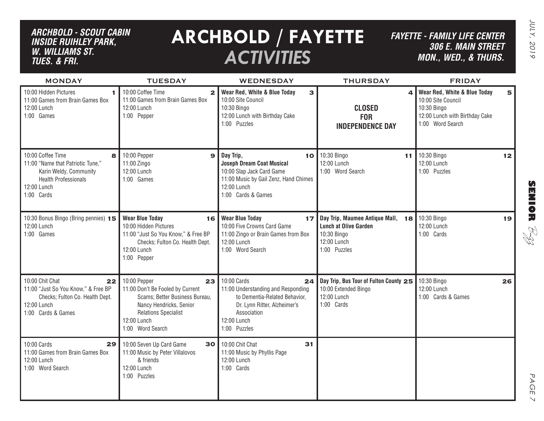## *ARCHBOLD - SCOUT CABIN inside ruihley park, w. williams st. tues. & FRI.*

## **ARCHBOLD / FAYETTE** *ACTIVITIES*

*FAYETTE - FAMILY LIFE CENTER306 E. Main Street MON., Wed., & THURS.*

| <b>MONDAY</b>                                                                                                                                     | <b>TUESDAY</b>                                                                                                                                                                        | <b>WEDNESDAY</b>                                                                                                                                                       | <b>THURSDAY</b>                                                                                                 | <b>FRIDAY</b>                                                                                                                |
|---------------------------------------------------------------------------------------------------------------------------------------------------|---------------------------------------------------------------------------------------------------------------------------------------------------------------------------------------|------------------------------------------------------------------------------------------------------------------------------------------------------------------------|-----------------------------------------------------------------------------------------------------------------|------------------------------------------------------------------------------------------------------------------------------|
| 10:00 Hidden Pictures<br>11:00 Games from Brain Games Box<br>12:00 Lunch<br>1:00 Games                                                            | 10:00 Coffee Time<br>2 <sup>1</sup><br>11:00 Games from Brain Games Box<br>12:00 Lunch<br>1:00 Pepper                                                                                 | Wear Red, White & Blue Today<br>3<br>10:00 Site Council<br>10:30 Bingo<br>12:00 Lunch with Birthday Cake<br>1:00 Puzzles                                               | $\Delta$<br><b>CLOSED</b><br><b>FOR</b><br><b>INDEPENDENCE DAY</b>                                              | Wear Red, White & Blue Today<br>5<br>10:00 Site Council<br>10:30 Bingo<br>12:00 Lunch with Birthday Cake<br>1:00 Word Search |
| 10:00 Coffee Time<br>8<br>11:00 "Name that Patriotic Tune,"<br>Karin Weldy, Community<br><b>Health Professionals</b><br>12:00 Lunch<br>1:00 Cards | 10:00 Pepper<br>$\mathbf{9}$<br>11:00 Zingo<br>12:00 Lunch<br>1:00 Games                                                                                                              | Day Trip,<br>10<br><b>Joseph Dream Coat Musical</b><br>10:00 Slap Jack Card Game<br>11:00 Music by Gail Zenz, Hand Chimes<br>12:00 Lunch<br>1:00 Cards & Games         | 10:30 Bingo<br>11<br>12:00 Lunch<br>1:00 Word Search                                                            | 10:30 Bingo<br>12<br>12:00 Lunch<br>1:00 Puzzles                                                                             |
| 10:30 Bonus Bingo (Bring pennies) 15<br>12:00 Lunch<br>1:00 Games                                                                                 | <b>Wear Blue Today</b><br>16 <br>10:00 Hidden Pictures<br>11:00 "Just So You Know," & Free BP<br>Checks; Fulton Co. Health Dept.<br>12:00 Lunch<br>1:00 Pepper                        | <b>Wear Blue Today</b><br>17<br>10:00 Five Crowns Card Game<br>11:00 Zingo or Brain Games from Box<br>12:00 Lunch<br>1:00 Word Search                                  | Day Trip, Maumee Antique Mall, 18<br><b>Lunch at Olive Garden</b><br>10:30 Bingo<br>12:00 Lunch<br>1:00 Puzzles | 10:30 Bingo<br>19<br>12:00 Lunch<br>1:00 Cards                                                                               |
| 10:00 Chit Chat<br>22<br>11:00 "Just So You Know," & Free BP<br>Checks; Fulton Co. Health Dept.<br>12:00 Lunch<br>1:00 Cards & Games              | 10:00 Pepper<br>23<br>11:00 Don't Be Fooled by Current<br>Scams; Better Business Bureau,<br>Nancy Hendricks, Senior<br><b>Relations Specialist</b><br>12:00 Lunch<br>1:00 Word Search | 10:00 Cards<br>24<br>11:00 Understanding and Responding<br>to Dementia-Related Behavior,<br>Dr. Lynn Ritter, Alzheimer's<br>Association<br>12:00 Lunch<br>1:00 Puzzles | Day Trip, Bus Tour of Fulton County 25<br>10:00 Extended Bingo<br>12:00 Lunch<br>1:00 Cards                     | 10:30 Bingo<br>26<br>12:00 Lunch<br>1:00 Cards & Games                                                                       |
| 10:00 Cards<br>29<br>11:00 Games from Brain Games Box<br>12:00 Lunch<br>1:00 Word Search                                                          | 10:00 Seven Up Card Game<br>11:00 Music by Peter Villalovos<br>& friends<br>12:00 Lunch<br>1:00 Puzzles                                                                               | 30 10:00 Chit Chat<br>31<br>11:00 Music by Phyllis Page<br>12:00 Lunch<br>1:00 Cards                                                                                   |                                                                                                                 |                                                                                                                              |

# **SENIOR** B-zz

JULY, 2019 JULY, 2019

> PAGE PAGE 7  $\vee$